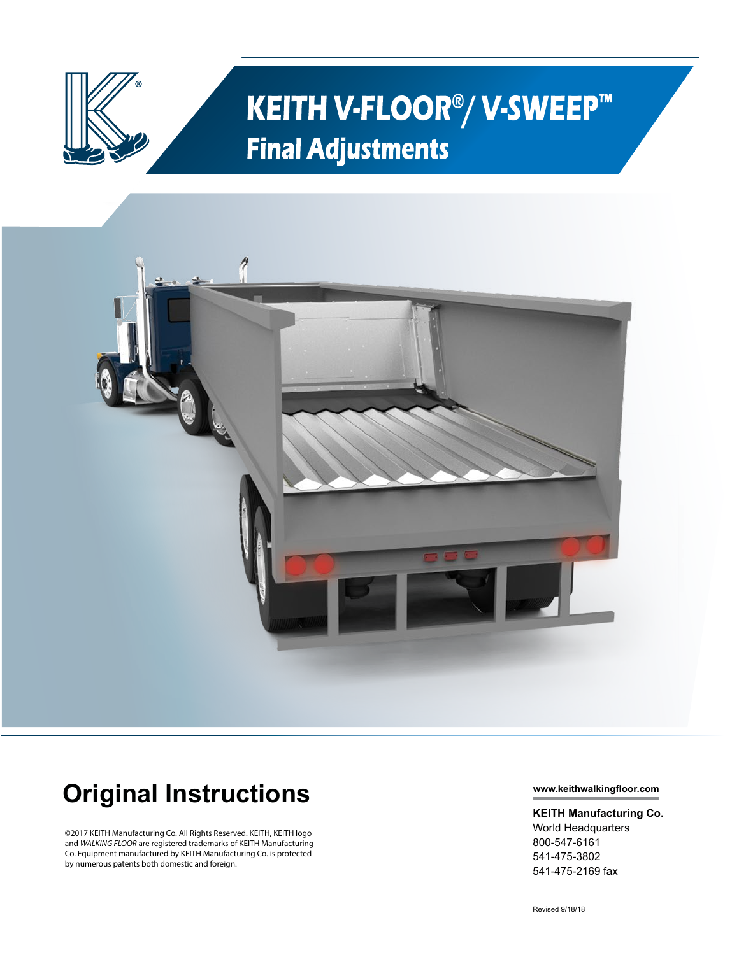

## **KEITH V-FLOOR<sup>®</sup>/ V-SWEEP™ Final Adjustments**



## **Original Instructions**

©2017 KEITH Manufacturing Co. All Rights Reserved. KEITH, KEITH logo and *WALKING FLOOR* are registered trademarks of KEITH Manufacturing Co. Equipment manufactured by KEITH Manufacturing Co. is protected by numerous patents both domestic and foreign.

**www.keithwalkingfloor.com**

## **KEITH Manufacturing Co.** World Headquarters

800-547-6161 541-475-3802 541-475-2169 fax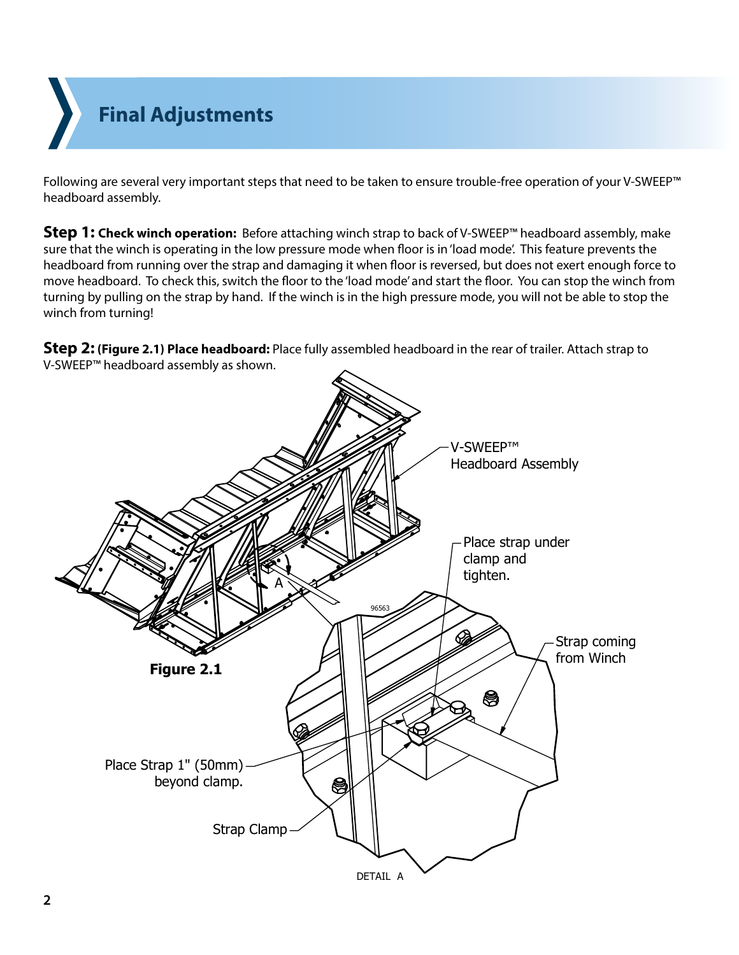**Final Adjustments**

Following are several very important steps that need to be taken to ensure trouble-free operation of your V-SWEEP™ headboard assembly.

**Step 1: Check winch operation:** Before attaching winch strap to back of V-SWEEP™ headboard assembly, make sure that the winch is operating in the low pressure mode when floor is in 'load mode'. This feature prevents the headboard from running over the strap and damaging it when floor is reversed, but does not exert enough force to move headboard. To check this, switch the floor to the 'load mode' and start the floor. You can stop the winch from turning by pulling on the strap by hand. If the winch is in the high pressure mode, you will not be able to stop the winch from turning!

**Step 2: (Figure 2.1) Place headboard:** Place fully assembled headboard in the rear of trailer. Attach strap to V-SWEEP™ headboard assembly as shown.

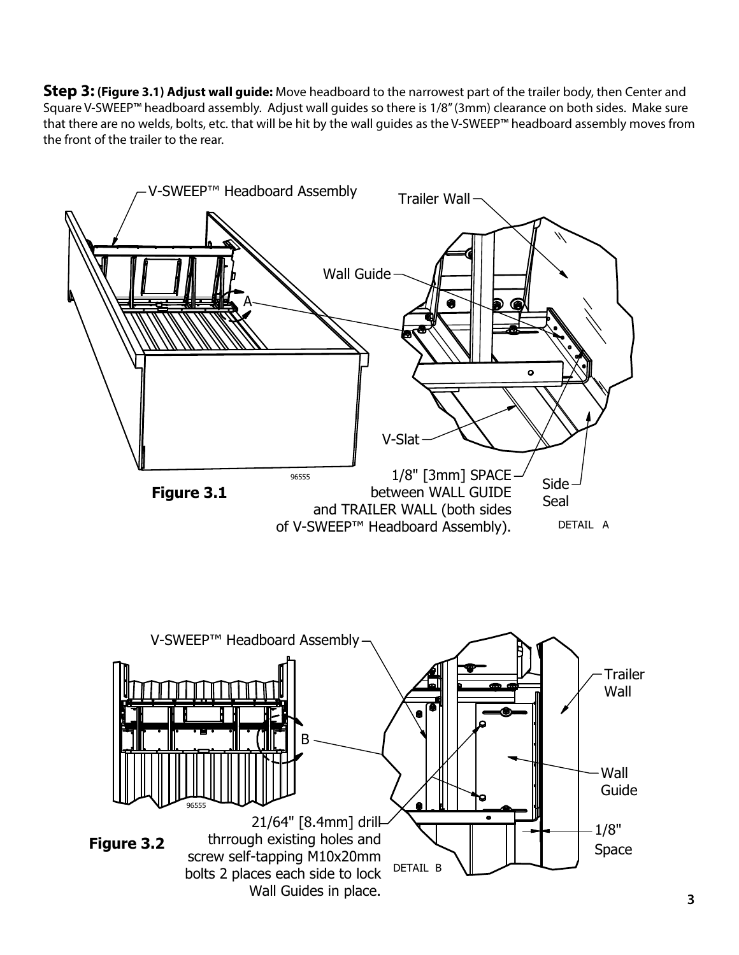**Step 3: (Figure 3.1) Adjust wall guide:** Move headboard to the narrowest part of the trailer body, then Center and Square V-SWEEP™ headboard assembly. Adjust wall guides so there is 1/8" (3mm) clearance on both sides. Make sure that there are no welds, bolts, etc. that will be hit by the wall guides as the V-SWEEP™ headboard assembly moves from the front of the trailer to the rear.

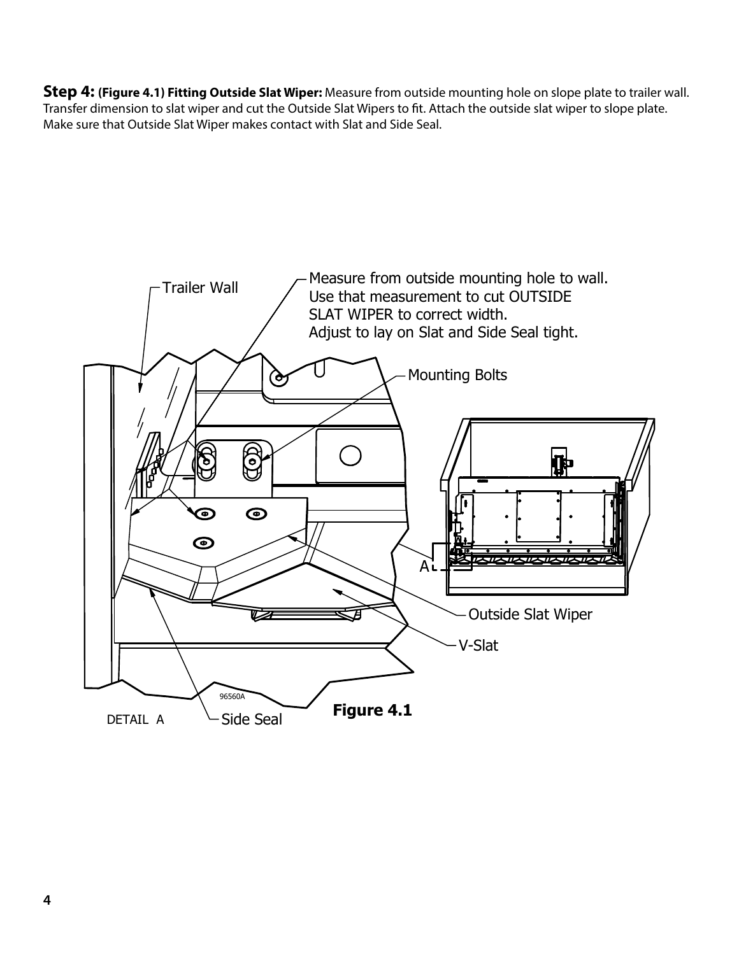**Step 4: (Figure 4.1) Fitting Outside Slat Wiper:** Measure from outside mounting hole on slope plate to trailer wall. Transfer dimension to slat wiper and cut the Outside Slat Wipers to fit. Attach the outside slat wiper to slope plate. Make sure that Outside Slat Wiper makes contact with Slat and Side Seal.

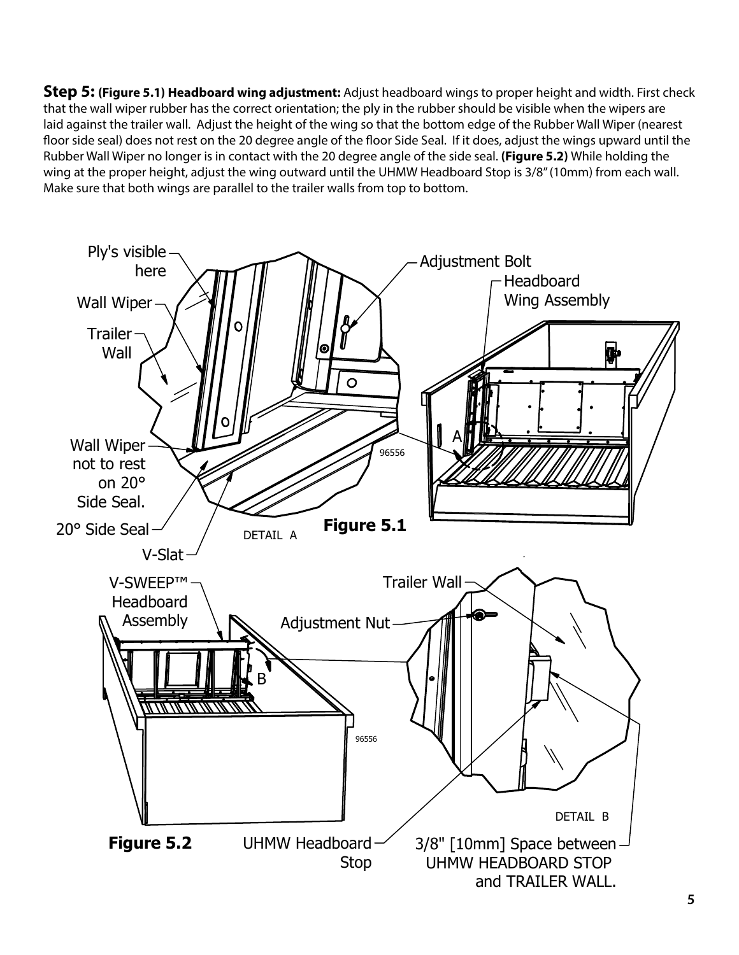**Step 5: (Figure 5.1) Headboard wing adjustment:** Adjust headboard wings to proper height and width. First check that the wall wiper rubber has the correct orientation; the ply in the rubber should be visible when the wipers are laid against the trailer wall. Adjust the height of the wing so that the bottom edge of the Rubber Wall Wiper (nearest floor side seal) does not rest on the 20 degree angle of the floor Side Seal. If it does, adjust the wings upward until the Rubber Wall Wiper no longer is in contact with the 20 degree angle of the side seal. **(Figure 5.2)** While holding the wing at the proper height, adjust the wing outward until the UHMW Headboard Stop is 3/8" (10mm) from each wall. Make sure that both wings are parallel to the trailer walls from top to bottom.

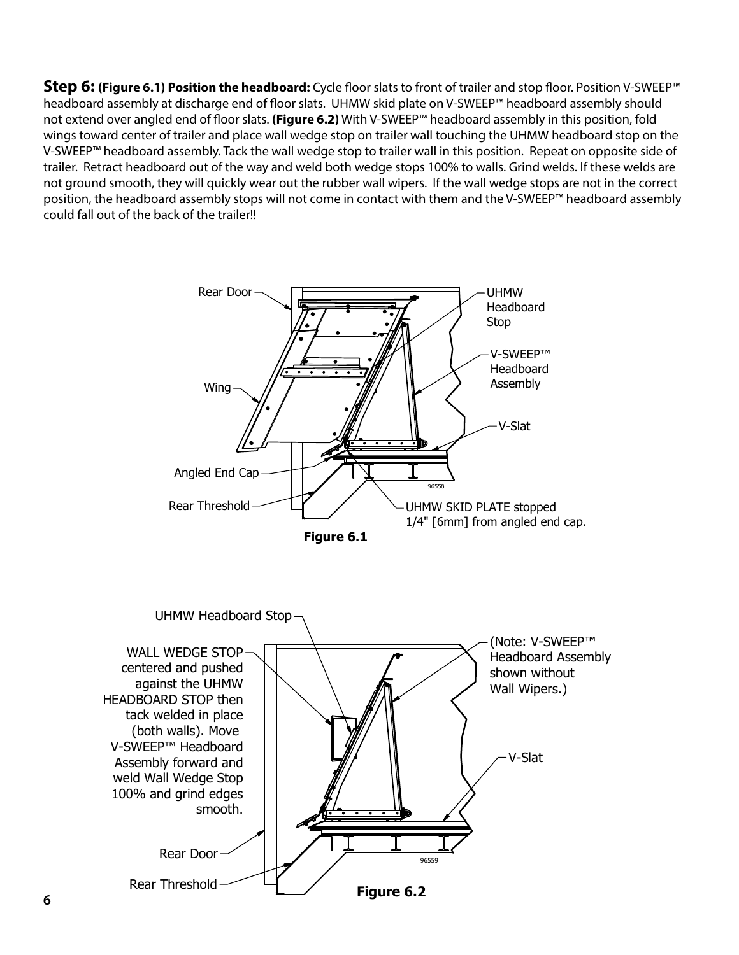**Step 6: (Figure 6.1) Position the headboard:** Cycle floor slats to front of trailer and stop floor. Position V-SWEEP™ headboard assembly at discharge end of floor slats. UHMW skid plate on V-SWEEP™ headboard assembly should not extend over angled end of floor slats. **(Figure 6.2)** With V-SWEEP™ headboard assembly in this position, fold wings toward center of trailer and place wall wedge stop on trailer wall touching the UHMW headboard stop on the V-SWEEP™ headboard assembly. Tack the wall wedge stop to trailer wall in this position. Repeat on opposite side of trailer. Retract headboard out of the way and weld both wedge stops 100% to walls. Grind welds. If these welds are not ground smooth, they will quickly wear out the rubber wall wipers. If the wall wedge stops are not in the correct position, the headboard assembly stops will not come in contact with them and the V-SWEEP™ headboard assembly could fall out of the back of the trailer!!

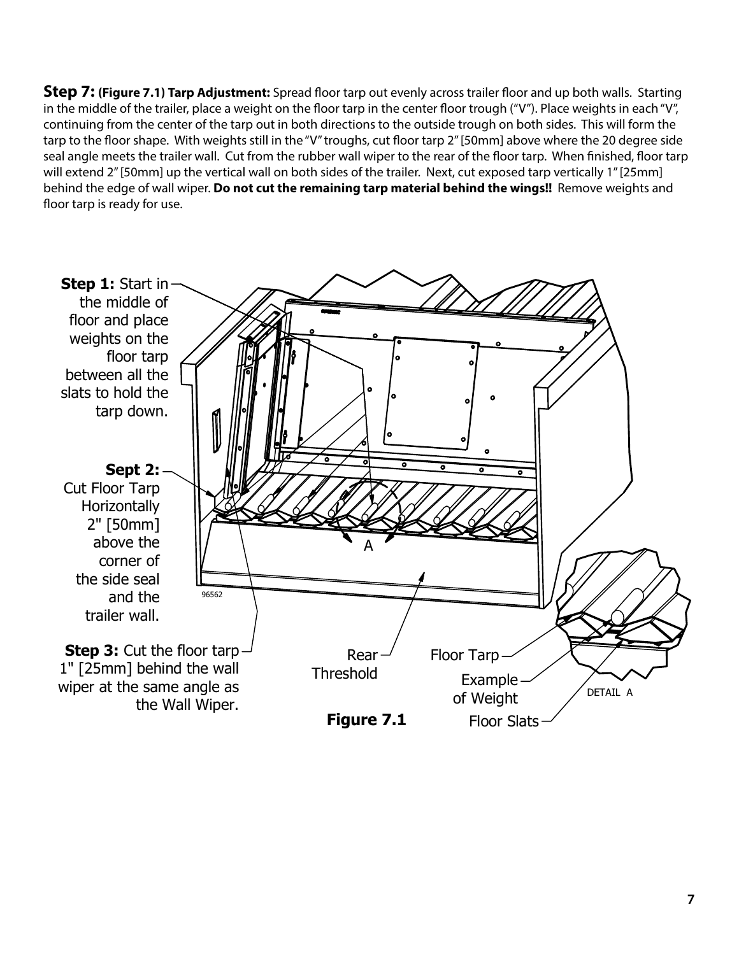**Step 7: (Figure 7.1) Tarp Adjustment:** Spread floor tarp out evenly across trailer floor and up both walls. Starting in the middle of the trailer, place a weight on the floor tarp in the center floor trough ("V"). Place weights in each "V", continuing from the center of the tarp out in both directions to the outside trough on both sides. This will form the tarp to the floor shape. With weights still in the "V" troughs, cut floor tarp 2" [50mm] above where the 20 degree side seal angle meets the trailer wall. Cut from the rubber wall wiper to the rear of the floor tarp. When finished, floor tarp will extend 2" [50mm] up the vertical wall on both sides of the trailer. Next, cut exposed tarp vertically 1" [25mm] behind the edge of wall wiper. **Do not cut the remaining tarp material behind the wings!!** Remove weights and floor tarp is ready for use.